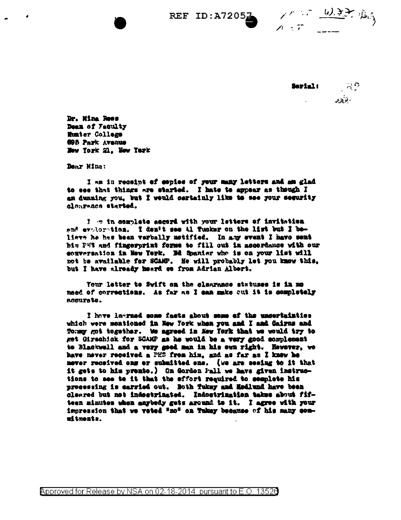



Dr. Mina Roos Dean of Faculty **Runter College** 695 Park Avenue New York 21. New York

Dear Mina:

I am in receipt of copies of your many letters and am glad to see that things are started. I hate to appear as though I an dunning you, but I would certainly like to see your segurity clear-nes started.

I me in complete accord with your letters of invitation and exploration. I den't see Al Tunker on the list but I believe he hes been verbally metified. In any event I have sent him PHS and fingerprint forms to fill out in ascordance with our conversation in New York. He Spanier who is on your list will not be available for SCAMP. He will probably let you know this, but I have already heard ee from Adrian Albert.

Your letter to Swift on the clearance statuses is in mo naed of corrections. As far as I can make out it is completely accurate.

I have learned some facts about some of the uncertainties which were mentioned in New York when you and I and Gairns and Tomay got together. We agreed in Mey Tork that we would try to get Girschick for SCAMP as he would be a very good complement to Blackwell and a very good man in his own right. However, we have never received a PHS from him, and as far as I knew he mever received ons or submitted ons. (we are seeing to it that it gets to him premie.) On Gordon Pall we have given instructions to see to it that the effort required to complete his processing is carried out. Both Tukey and Hedlund have been cleared but not indectrinated. Indoctrination takes about fifteen minutes when anybedy gets around to it. I agree with your impression that we voted "no" on Tukey because of his many commitments.